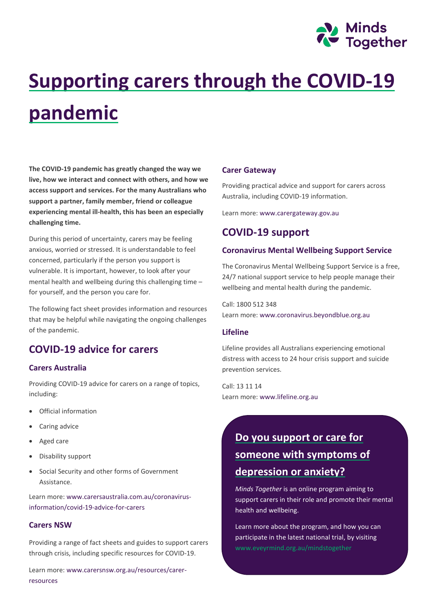

# **Supporting carers through the COVID-19 pandemic**

**The COVID-19 pandemic has greatly changed the way we live, how we interact and connect with others, and how we access support and services. For the many Australians who support a partner, family member, friend or colleague experiencing mental ill-health, this has been an especially challenging time.**

During this period of uncertainty, carers may be feeling anxious, worried or stressed. It is understandable to feel concerned, particularly if the person you support is vulnerable. It is important, however, to look after your mental health and wellbeing during this challenging time – for yourself, and the person you care for.

The following fact sheet provides information and resources that may be helpful while navigating the ongoing challenges of the pandemic.

## **COVID-19 advice for carers**

#### **[Carers Australia](https://www.carersaustralia.com.au/coronavirus-information/covid-19-advice-for-carers/)**

Providing COVID-19 advice for carers on a range of topics, including:

- Official information
- Caring advice
- Aged care
- Disability support
- Social Security and other forms of Government Assistance.

Learn more: [www.carersaustralia.com.au/coronavirus](http://www.carersaustralia.com.au/coronavirus-information/covid-19-advice-for-carers)[information/covid-19-advice-for-carers](http://www.carersaustralia.com.au/coronavirus-information/covid-19-advice-for-carers)

#### **[Carers NSW](https://www.carersnsw.org.au/)**

Providing a range of fact sheets and guides to support carers through crisis, including specific resources for COVID-19.

Learn more: [www.carersnsw.org.au/resources/carer](http://www.carersnsw.org.au/resources/carer-resources)[resources](http://www.carersnsw.org.au/resources/carer-resources)

#### **Carer Gateway**

Providing practical advice and support for carers across Australia, including COVID-19 information.

Learn more[: www.carergateway.gov.au](http://www.carergateway.gov.au/)

## **COVID-19 support**

#### **Coronavirus Mental Wellbeing Support Service**

The Coronavirus Mental Wellbeing Support Service is a free, 24/7 national support service to help people manage their wellbeing and mental health during the pandemic.

Call: 1800 512 348 Learn more[: www.coronavirus.beyondblue.org.au](http://www.coronavirus.beyondblue.org.au/)

#### **Lifeline**

Lifeline provides all Australians experiencing emotional distress with access to 24 hour crisis support and suicide prevention services.

Call: 13 11 14 Learn more[: www.lifeline.org.au](http://www.lifeline.org.au/)

# **Do you support or care for someone with symptoms of depression or anxiety?**

*Minds Together* is an online program aiming to support carers in their role and promote their mental health and wellbeing.

Learn more about the program, and how you can participate in the latest national trial, by visiting [www.eveyrmind.org.au/mindstogether](http://www.eveyrmind.org.au/mindstogether)